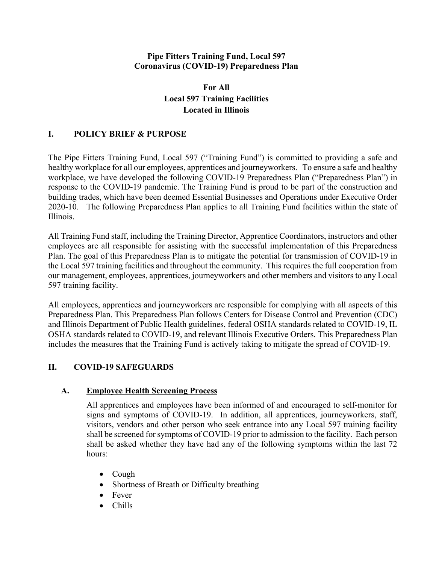#### **Pipe Fitters Training Fund, Local 597 Coronavirus (COVID-19) Preparedness Plan**

# **For All Local 597 Training Facilities Located in Illinois**

# **I. POLICY BRIEF & PURPOSE**

The Pipe Fitters Training Fund, Local 597 ("Training Fund") is committed to providing a safe and healthy workplace for all our employees, apprentices and journeyworkers. To ensure a safe and healthy workplace, we have developed the following COVID-19 Preparedness Plan ("Preparedness Plan") in response to the COVID-19 pandemic. The Training Fund is proud to be part of the construction and building trades, which have been deemed Essential Businesses and Operations under Executive Order 2020-10. The following Preparedness Plan applies to all Training Fund facilities within the state of Illinois.

All Training Fund staff, including the Training Director, Apprentice Coordinators, instructors and other employees are all responsible for assisting with the successful implementation of this Preparedness Plan. The goal of this Preparedness Plan is to mitigate the potential for transmission of COVID-19 in the Local 597 training facilities and throughout the community. This requires the full cooperation from our management, employees, apprentices, journeyworkers and other members and visitors to any Local 597 training facility.

All employees, apprentices and journeyworkers are responsible for complying with all aspects of this Preparedness Plan. This Preparedness Plan follows Centers for Disease Control and Prevention (CDC) and Illinois Department of Public Health guidelines, federal OSHA standards related to COVID-19, IL OSHA standards related to COVID-19, and relevant Illinois Executive Orders. This Preparedness Plan includes the measures that the Training Fund is actively taking to mitigate the spread of COVID-19.

# **II. COVID-19 SAFEGUARDS**

# **A. Employee Health Screening Process**

All apprentices and employees have been informed of and encouraged to self-monitor for signs and symptoms of COVID-19. In addition, all apprentices, journeyworkers, staff, visitors, vendors and other person who seek entrance into any Local 597 training facility shall be screened for symptoms of COVID-19 prior to admission to the facility. Each person shall be asked whether they have had any of the following symptoms within the last 72 hours:

- Cough
- Shortness of Breath or Difficulty breathing
- Fever
- Chills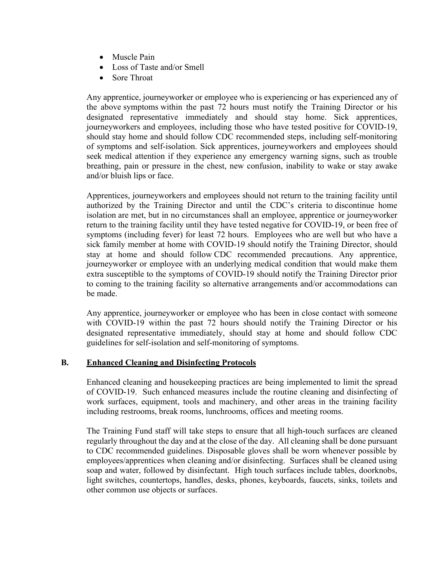- Muscle Pain
- Loss of Taste and/or Smell
- Sore Throat

Any apprentice, journeyworker or employee who is experiencing or has experienced any of the above symptoms within the past 72 hours must notify the Training Director or his designated representative immediately and should stay home. Sick apprentices, journeyworkers and employees, including those who have tested positive for COVID-19, should stay home and should follow CDC recommended steps, including self-monitoring of symptoms and self-isolation. Sick apprentices, journeyworkers and employees should seek medical attention if they experience any emergency warning signs, such as trouble breathing, pain or pressure in the chest, new confusion, inability to wake or stay awake and/or bluish lips or face.

Apprentices, journeyworkers and employees should not return to the training facility until authorized by the Training Director and until the CDC's criteria to discontinue home isolation are met, but in no circumstances shall an employee, apprentice or journeyworker return to the training facility until they have tested negative for COVID-19, or been free of symptoms (including fever) for least 72 hours. Employees who are well but who have a sick family member at home with COVID-19 should notify the Training Director, should stay at home and should follow CDC recommended precautions. Any apprentice, journeyworker or employee with an underlying medical condition that would make them extra susceptible to the symptoms of COVID-19 should notify the Training Director prior to coming to the training facility so alternative arrangements and/or accommodations can be made.

Any apprentice, journeyworker or employee who has been in close contact with someone with COVID-19 within the past 72 hours should notify the Training Director or his designated representative immediately, should stay at home and should follow CDC guidelines for self-isolation and self-monitoring of symptoms.

### **B. Enhanced Cleaning and Disinfecting Protocols**

Enhanced cleaning and housekeeping practices are being implemented to limit the spread of COVID-19. Such enhanced measures include the routine cleaning and disinfecting of work surfaces, equipment, tools and machinery, and other areas in the training facility including restrooms, break rooms, lunchrooms, offices and meeting rooms.

The Training Fund staff will take steps to ensure that all high-touch surfaces are cleaned regularly throughout the day and at the close of the day. All cleaning shall be done pursuant to CDC recommended guidelines. Disposable gloves shall be worn whenever possible by employees/apprentices when cleaning and/or disinfecting. Surfaces shall be cleaned using soap and water, followed by disinfectant. High touch surfaces include tables, doorknobs, light switches, countertops, handles, desks, phones, keyboards, faucets, sinks, toilets and other common use objects or surfaces.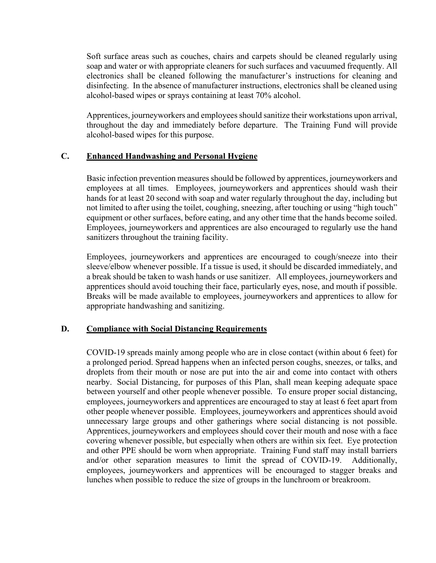Soft surface areas such as couches, chairs and carpets should be cleaned regularly using soap and water or with appropriate cleaners for such surfaces and vacuumed frequently. All electronics shall be cleaned following the manufacturer's instructions for cleaning and disinfecting. In the absence of manufacturer instructions, electronics shall be cleaned using alcohol-based wipes or sprays containing at least 70% alcohol.

Apprentices, journeyworkers and employees should sanitize their workstations upon arrival, throughout the day and immediately before departure. The Training Fund will provide alcohol-based wipes for this purpose.

#### **C. Enhanced Handwashing and Personal Hygiene**

Basic infection prevention measures should be followed by apprentices, journeyworkers and employees at all times. Employees, journeyworkers and apprentices should wash their hands for at least 20 second with soap and water regularly throughout the day, including but not limited to after using the toilet, coughing, sneezing, after touching or using "high touch" equipment or other surfaces, before eating, and any other time that the hands become soiled. Employees, journeyworkers and apprentices are also encouraged to regularly use the hand sanitizers throughout the training facility.

Employees, journeyworkers and apprentices are encouraged to cough/sneeze into their sleeve/elbow whenever possible. If a tissue is used, it should be discarded immediately, and a break should be taken to wash hands or use sanitizer. All employees, journeyworkers and apprentices should avoid touching their face, particularly eyes, nose, and mouth if possible. Breaks will be made available to employees, journeyworkers and apprentices to allow for appropriate handwashing and sanitizing.

### **D. Compliance with Social Distancing Requirements**

COVID-19 spreads mainly among people who are in close contact (within about 6 feet) for a prolonged period. Spread happens when an infected person coughs, sneezes, or talks, and droplets from their mouth or nose are put into the air and come into contact with others nearby. Social Distancing, for purposes of this Plan, shall mean keeping adequate space between yourself and other people whenever possible. To ensure proper social distancing, employees, journeyworkers and apprentices are encouraged to stay at least 6 feet apart from other people whenever possible. Employees, journeyworkers and apprentices should avoid unnecessary large groups and other gatherings where social distancing is not possible. Apprentices, journeyworkers and employees should cover their mouth and nose with a face covering whenever possible, but especially when others are within six feet. Eye protection and other PPE should be worn when appropriate. Training Fund staff may install barriers and/or other separation measures to limit the spread of COVID-19. Additionally, employees, journeyworkers and apprentices will be encouraged to stagger breaks and lunches when possible to reduce the size of groups in the lunchroom or breakroom.